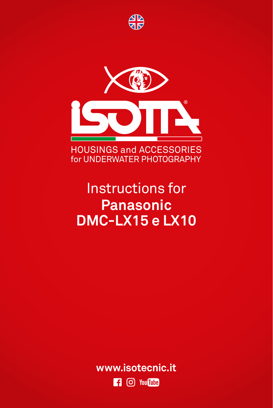



### Instructions for **Panasonic DMC-LX15 e LX10**

**www.isotecnic.it**

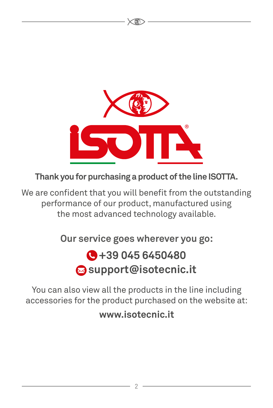

**Thank you for purchasing a product of the line ISOTTA.** 

We are confident that you will benefit from the outstanding performance of our product, manufactured using the most advanced technology available.

**Our service goes wherever you go:**

### $\bigodot$  +39 045 6450480 **support@isotecnic.it**

You can also view all the products in the line including accessories for the product purchased on the website at:

**www.isotecnic.it**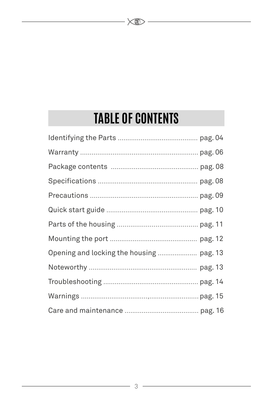# **TABLE OF CONTENTS**

 $\longrightarrow$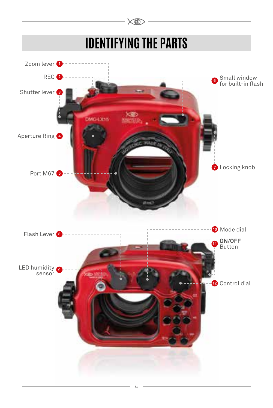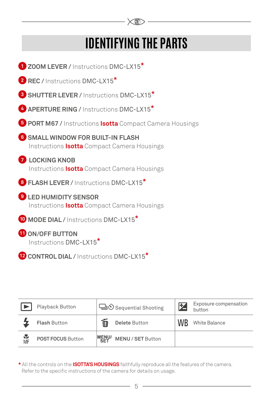# **IDENTIFYING THE PARTS**

 $\times$ 



**12 CONTROL DIAL /** Instructions DMC-LX15**\***

|         | Playback Button     |              | 国心 Sequential Shooting | E  | Exposure compensation<br>button |
|---------|---------------------|--------------|------------------------|----|---------------------------------|
|         | <b>Flash Button</b> |              | <b>Delete Button</b>   | WR | White Balance                   |
| 、<br>MF | POST FOCUS Button   | MENU/<br>SFT | MENU / SET Button      |    |                                 |

**\*** All the controls on the **ISOTTA'S HOUSINGS** faithfully reproduce all the features of the camera. Refer to the specific instructions of the camera for details on usage.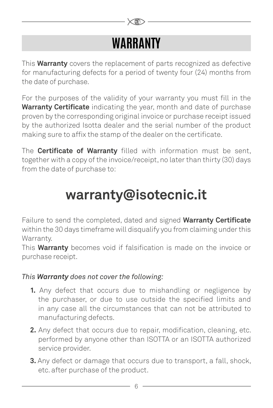### **WARRANTY**

This **Warranty** covers the replacement of parts recognized as defective for manufacturing defects for a period of twenty four (24) months from the date of purchase.

For the purposes of the validity of your warranty you must fill in the **Warranty Certificate** indicating the year, month and date of purchase proven by the corresponding original invoice or purchase receipt issued by the authorized Isotta dealer and the serial number of the product making sure to affix the stamp of the dealer on the certificate.

The **Certificate of Warranty** filled with information must be sent, together with a copy of the invoice/receipt, no later than thirty (30) days from the date of purchase to:

### **warranty@isotecnic.it**

Failure to send the completed, dated and signed **Warranty Certificate** within the 30 days timeframe will disqualify you from claiming under this Warranty.

This **Warranty** becomes void if falsification is made on the invoice or purchase receipt.

#### *This Warranty does not cover the following:*

- **1.** Any defect that occurs due to mishandling or negligence by the purchaser, or due to use outside the specified limits and in any case all the circumstances that can not be attributed to manufacturing defects.
- **2.** Any defect that occurs due to repair, modification, cleaning, etc. performed by anyone other than ISOTTA or an ISOTTA authorized service provider.
- **3.** Any defect or damage that occurs due to transport, a fall, shock, etc. after purchase of the product.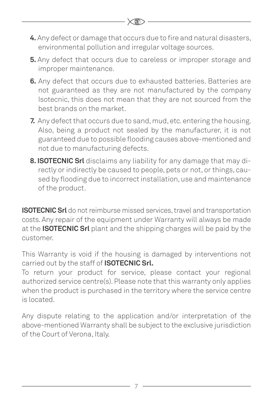**4.** Any defect or damage that occurs due to fire and natural disasters, environmental pollution and irregular voltage sources.

 $\times$ 

- **5.** Any defect that occurs due to careless or improper storage and improper maintenance.
- **6.** Any defect that occurs due to exhausted batteries. Batteries are not guaranteed as they are not manufactured by the company Isotecnic, this does not mean that they are not sourced from the best brands on the market.
- **7.** Any defect that occurs due to sand, mud, etc. entering the housing. Also, being a product not sealed by the manufacturer, it is not guaranteed due to possible flooding causes above-mentioned and not due to manufacturing defects.
- **8. ISOTECNIC Srl** disclaims any liability for any damage that may directly or indirectly be caused to people, pets or not, or things, caused by flooding due to incorrect installation, use and maintenance of the product.

**ISOTECNIC Srl** do not reimburse missed services, travel and transportation costs. Any repair of the equipment under Warranty will always be made at the **ISOTECNIC Srl** plant and the shipping charges will be paid by the customer.

This Warranty is void if the housing is damaged by interventions not carried out by the staff of **ISOTECNIC Srl.**

To return your product for service, please contact your regional authorized service centre(s). Please note that this warranty only applies when the product is purchased in the territory where the service centre is located.

Any dispute relating to the application and/or interpretation of the above-mentioned Warranty shall be subject to the exclusive jurisdiction of the Court of Verona, Italy.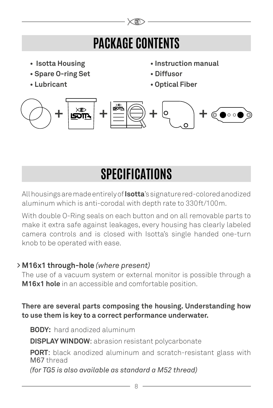

# **SPECIFICATIONS**

All housings are made entirely of **Isotta**'s signature red-colored anodized aluminum which is anti-corodal with depth rate to 330ft/100m.

With double O-Ring seals on each button and on all removable parts to make it extra safe against leakages, every housing has clearly labeled camera controls and is closed with Isotta's single handed one-turn knob to be operated with ease.

### **M16x1 through-hole** *(where present)* **>**

The use of a vacuum system or external monitor is possible through a **M16x1 hole** in an accessible and comfortable position.

### **There are several parts composing the housing. Understanding how to use them is key to a correct performance underwater.**

**BODY:** hard anodized aluminum

**DISPLAY WINDOW**: abrasion resistant polycarbonate

**PORT**: black anodized aluminum and scratch-resistant glass with M67 thread

*(for TG5 is also available as standard a M52 thread)*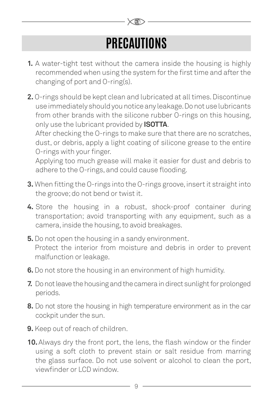# **PRECAUTIONS**

 $\times$ 

- **1.** A water-tight test without the camera inside the housing is highly recommended when using the system for the first time and after the changing of port and O-ring(s).
- **2.** O-rings should be kept clean and lubricated at all times. Discontinue use immediately should you notice any leakage. Do not use lubricants from other brands with the silicone rubber O-rings on this housing, only use the lubricant provided by **ISOTTA**.

After checking the O-rings to make sure that there are no scratches, dust, or debris, apply a light coating of silicone grease to the entire O-rings with your finger.

Applying too much grease will make it easier for dust and debris to adhere to the O-rings, and could cause flooding.

- **3.** When fitting the O-rings into the O-rings groove, insert it straight into the groove; do not bend or twist it.
- **4.** Store the housing in a robust, shock-proof container during transportation; avoid transporting with any equipment, such as a camera, inside the housing, to avoid breakages.
- **5.** Do not open the housing in a sandy environment. Protect the interior from moisture and debris in order to prevent malfunction or leakage.
- **6.** Do not store the housing in an environment of high humidity.
- **7.** Do not leave the housing and the camera in direct sunlight for prolonged periods.
- **8.** Do not store the housing in high temperature environment as in the car cockpit under the sun.
- **9.** Keep out of reach of children.
- **10.** Always dry the front port, the lens, the flash window or the finder using a soft cloth to prevent stain or salt residue from marring the glass surface. Do not use solvent or alcohol to clean the port, viewfinder or LCD window.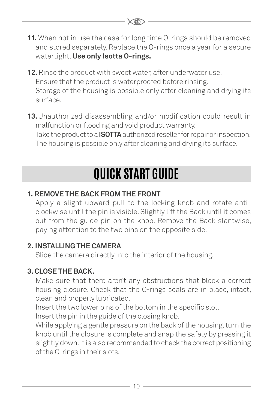**11.** When not in use the case for long time O-rings should be removed and stored separately. Replace the O-rings once a year for a secure watertight. **Use only Isotta O-rings.**

 $\times$ 

- **12.** Rinse the product with sweet water, after underwater use. Ensure that the product is waterproofed before rinsing. Storage of the housing is possible only after cleaning and drying its surface.
- **13.** Unauthorized disassembling and/or modification could result in malfunction or flooding and void product warranty. Take the product to a **ISOTTA** authorized reseller for repair or inspection. The housing is possible only after cleaning and drying its surface.

### **QUICK START GUIDE**

### **1. REMOVE THE BACK FROM THE FRONT**

Apply a slight upward pull to the locking knob and rotate anticlockwise until the pin is visible. Slightly lift the Back until it comes out from the guide pin on the knob. Remove the Back slantwise, paying attention to the two pins on the opposite side.

### **2. INSTALLING THE CAMERA**

Slide the camera directly into the interior of the housing.

### **3. CLOSE THE BACK.**

Make sure that there aren't any obstructions that block a correct housing closure. Check that the O-rings seals are in place, intact, clean and properly lubricated.

Insert the two lower pins of the bottom in the specific slot.

Insert the pin in the guide of the closing knob.

While applying a gentle pressure on the back of the housing, turn the knob until the closure is complete and snap the safety by pressing it slightly down. It is also recommended to check the correct positioning of the O-rings in their slots.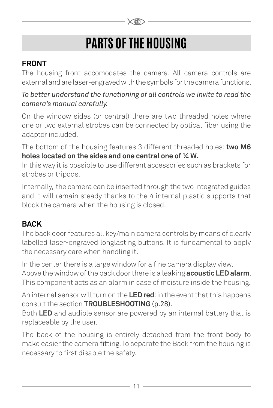# **PARTS OF THE HOUSING**

✕⋒

### **FRONT**

The housing front accomodates the camera. All camera controls are external and are laser-engraved with the symbols for the camera functions.

### *To better understand the functioning of all controls we invite to read the camera's manual carefully.*

On the window sides (or central) there are two threaded holes where one or two external strobes can be connected by optical fiber using the adaptor included.

The bottom of the housing features 3 different threaded holes: **two M6 holes located on the sides and one central one of ¼ W.**

In this way it is possible to use different accessories such as brackets for strobes or tripods.

Internally, the camera can be inserted through the two integrated guides and it will remain steady thanks to the 4 internal plastic supports that block the camera when the housing is closed.

### **BACK**

The back door features all key/main camera controls by means of clearly labelled laser-engraved longlasting buttons. It is fundamental to apply the necessary care when handling it.

In the center there is a large window for a fine camera display view. Above the window of the back door there is a leaking **acoustic LED alarm**. This component acts as an alarm in case of moisture inside the housing.

An internal sensor will turn on the **LED red**: in the event that this happens consult the section **TROUBLESHOOTING** (p.28).

Both **LED** and audible sensor are powered by an internal battery that is replaceable by the user.

The back of the housing is entirely detached from the front body to make easier the camera fitting. To separate the Back from the housing is necessary to first disable the safety.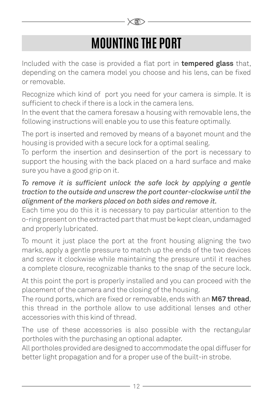# **MOUNTING THE PORT**

✕⋒

Included with the case is provided a flat port in **tempered glass** that, depending on the camera model you choose and his lens, can be fixed or removable.

Recognize which kind of port you need for your camera is simple. It is sufficient to check if there is a lock in the camera lens.

In the event that the camera foresaw a housing with removable lens, the following instructions will enable you to use this feature optimally.

The port is inserted and removed by means of a bayonet mount and the housing is provided with a secure lock for a optimal sealing.

To perform the insertion and desinsertion of the port is necessary to support the housing with the back placed on a hard surface and make sure you have a good grip on it.

#### *To remove it is sufficient unlock the safe lock by applying a gentle traction to the outside and unscrew the port counter-clockwise until the alignment of the markers placed on both sides and remove it.*

Each time you do this it is necessary to pay particular attention to the o-ring present on the extracted part that must be kept clean, undamaged and properly lubricated.

To mount it just place the port at the front housing aligning the two marks, apply a gentle pressure to match up the ends of the two devices and screw it clockwise while maintaining the pressure until it reaches a complete closure, recognizable thanks to the snap of the secure lock.

At this point the port is properly installed and you can proceed with the placement of the camera and the closing of the housing.

The round ports, which are fixed or removable, ends with an **M67 thread**, this thread in the porthole allow to use additional lenses and other accessories with this kind of thread.

The use of these accessories is also possible with the rectangular portholes with the purchasing an optional adapter.

All portholes provided are designed to accommodate the opal diffuser for better light propagation and for a proper use of the built-in strobe.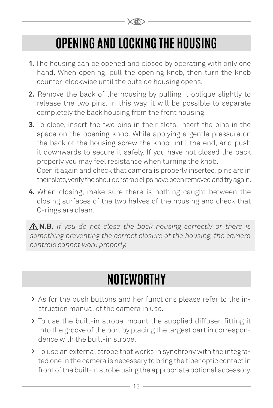# **OPENING AND LOCKING THE HOUSING**

 $\times$  00

- **1.** The housing can be opened and closed by operating with only one hand. When opening, pull the opening knob, then turn the knob counter-clockwise until the outside housing opens.
- **2.** Remove the back of the housing by pulling it oblique slightly to release the two pins. In this way, it will be possible to separate completely the back housing from the front housing.
- **3.** To close, insert the two pins in their slots, insert the pins in the space on the opening knob. While applying a gentle pressure on the back of the housing screw the knob until the end, and push it downwards to secure it safely. If you have not closed the back properly you may feel resistance when turning the knob. Open it again and check that camera is properly inserted, pins are in

their slots, verify the shoulder strap clips have been removed and try again.

**4.** When closing, make sure there is nothing caught between the closing surfaces of the two halves of the housing and check that O-rings are clean.

 **N.B.** *If you do not close the back housing correctly or there is something preventing the correct closure of the housing, the camera controls cannot work properly.*

### **NOTEWORTHY**

- As for the push buttons and her functions please refer to the in-**>** struction manual of the camera in use.
- To use the built-in strobe, mount the supplied diffuser, fitting it **>** into the groove of the port by placing the largest part in correspondence with the built-in strobe.
- To use an external strobe that works in synchrony with the integra-**>**ted one in the camera is necessary to bring the fiber optic contact in front of the built-in strobe using the appropriate optional accessory.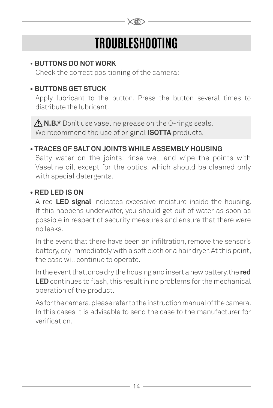# **TROUBLESHOOTING**

#### • **BUTTONS DO NOT WORK**

Check the correct positioning of the camera;

#### **• BUTTONS GET STUCK**

Apply lubricant to the button. Press the button several times to distribute the lubricant.

A **N.B.\*** Don't use vaseline grease on the O-rings seals. We recommend the use of original **ISOTTA** products.

#### **• TRACES OF SALT ON JOINTS WHILE ASSEMBLY HOUSING**

Salty water on the joints: rinse well and wipe the points with Vaseline oil, except for the optics, which should be cleaned only with special detergents.

#### **• RED LED IS ON**

A red **LED signal** indicates excessive moisture inside the housing. If this happens underwater, you should get out of water as soon as possible in respect of security measures and ensure that there were no leaks.

In the event that there have been an infiltration, remove the sensor's battery, dry immediately with a soft cloth or a hair dryer. At this point, the case will continue to operate.

In the event that, once dry the housing and insert a new battery, the **red LED** continues to flash, this result in no problems for the mechanical operation of the product.

As for the camera, please refer to the instruction manual of the camera. In this cases it is advisable to send the case to the manufacturer for verification.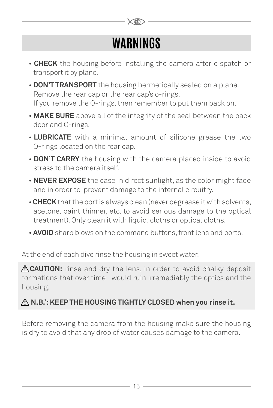# **WARNINGS**

 $\times$  00

- • **CHECK** the housing before installing the camera after dispatch or transport it by plane.
- • **DON'T TRANSPORT** the housing hermetically sealed on a plane. Remove the rear cap or the rear cap's o-rings. If you remove the O-rings, then remember to put them back on.
- • **MAKE SURE** above all of the integrity of the seal between the back door and O-rings.
- • **LUBRICATE** with a minimal amount of silicone grease the two O-rings located on the rear cap.
- • **DON'T CARRY** the housing with the camera placed inside to avoid stress to the camera itself.
- • **NEVER EXPOSE** the case in direct sunlight, as the color might fade and in order to prevent damage to the internal circuitry.
- • **CHECK** that the port is always clean (never degrease it with solvents, acetone, paint thinner, etc. to avoid serious damage to the optical treatment). Only clean it with liquid, cloths or optical cloths.
- **AVOID** sharp blows on the command buttons, front lens and ports.

At the end of each dive rinse the housing in sweet water.

A CAUTION: rinse and dry the lens, in order to avoid chalky deposit formations that over time would ruin irremediably the optics and the housing.

### **N.B.\* : KEEP THE HOUSING TIGHTLY CLOSED when you rinse it.**

Before removing the camera from the housing make sure the housing is dry to avoid that any drop of water causes damage to the camera.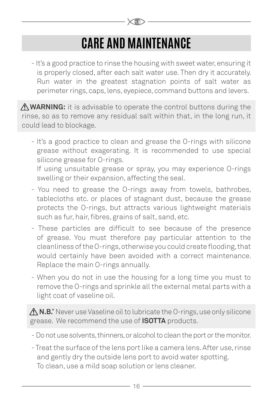# **CARE AND MAINTENANCE**

 $\times$  00

- It's a good practice to rinse the housing with sweet water, ensuring it is properly closed, after each salt water use. Then dry it accurately. Run water in the greatest stagnation points of salt water as perimeter rings, caps, lens, eyepiece, command buttons and levers.

A **WARNING:** it is advisable to operate the control buttons during the rinse, so as to remove any residual salt within that, in the long run, it could lead to blockage.

- It's a good practice to clean and grease the O-rings with silicone grease without exagerating. It is recommended to use special silicone grease for O-rings.

If using unsuitable grease or spray, you may experience O-rings swelling or their expansion, affecting the seal.

- You need to grease the O-rings away from towels, bathrobes, tablecloths etc. or places of stagnant dust, because the grease protects the O-rings, but attracts various lightweight materials such as fur, hair, fibres, grains of salt, sand, etc.
- These particles are difficult to see because of the presence of grease. You must therefore pay particular attention to the cleanliness of the O-rings, otherwise you could create flooding, that would certainly have been avoided with a correct maintenance. Replace the main O-rings annually.
- When you do not in use the housing for a long time you must to remove the O-rings and sprinkle all the external metal parts with a light coat of vaseline oil.

∕∆ **N.B.\*** Never use Vaseline oil to lubricate the O-rings, use only silicone grease. We recommend the use of **ISOTTA** products.

- Do not use solvents, thinners, or alcohol to clean the port or the monitor.
- Treat the surface of the lens port like a camera lens. After use, rinse and gently dry the outside lens port to avoid water spotting. To clean, use a mild soap solution or lens cleaner.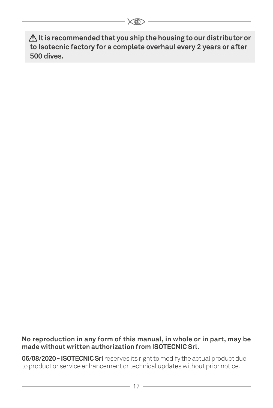**It is recommended that you ship the housing to our distributor or to Isotecnic factory for a complete overhaul every 2 years or after 500 dives.**

 $\times$ 

**No reproduction in any form of this manual, in whole or in part, may be made without written authorization from ISOTECNIC Srl.**

**06/08/2020 - ISOTECNIC Srl** reserves its right to modify the actual product due to product or service enhancement or technical updates without prior notice.